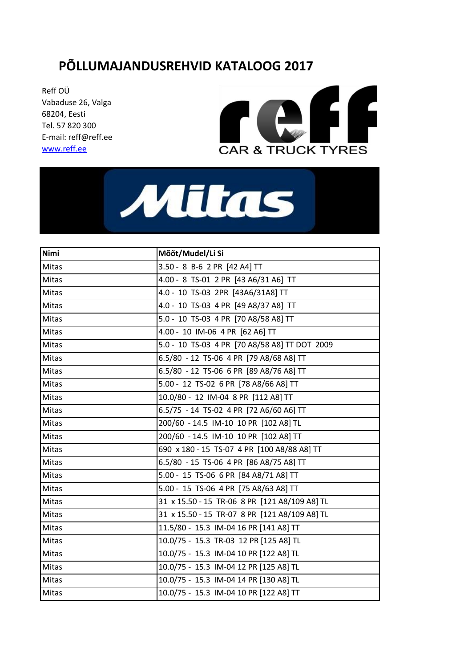## **PÕLLUMAJANDUSREHVID KATALOOG 2017**

Reff OÜ Vabaduse 26, Valga 68204 , Eesti Tel. 57 820 300 E-mail: reff@reff.ee [www.reff.ee](http://www.reff.ee/) 





| <b>Nimi</b> | Mõõt/Mudel/Li Si                              |
|-------------|-----------------------------------------------|
| Mitas       | 3.50 - 8 B-6 2 PR [42 A4] TT                  |
| Mitas       | 4.00 - 8 TS-01 2 PR [43 A6/31 A6] TT          |
| Mitas       | 4.0 - 10 TS-03 2PR [43A6/31A8] TT             |
| Mitas       | 4.0 - 10 TS-03 4 PR [49 A8/37 A8] TT          |
| Mitas       | 5.0 - 10 TS-03 4 PR [70 A8/58 A8] TT          |
| Mitas       | 4.00 - 10 IM-06 4 PR [62 A6] TT               |
| Mitas       | 5.0 - 10 TS-03 4 PR [70 A8/58 A8] TT DOT 2009 |
| Mitas       | 6.5/80 - 12 TS-06 4 PR [79 A8/68 A8] TT       |
| Mitas       | 6.5/80 - 12 TS-06 6 PR [89 A8/76 A8] TT       |
| Mitas       | 5.00 - 12 TS-02 6 PR [78 A8/66 A8] TT         |
| Mitas       | 10.0/80 - 12 IM-04 8 PR [112 A8] TT           |
| Mitas       | 6.5/75 - 14 TS-02 4 PR [72 A6/60 A6] TT       |
| Mitas       | 200/60 - 14.5 IM-10 10 PR [102 A8] TL         |
| Mitas       | 200/60 - 14.5 IM-10 10 PR [102 A8] TT         |
| Mitas       | 690 x 180 - 15 TS-07 4 PR [100 A8/88 A8] TT   |
| Mitas       | 6.5/80 - 15 TS-06 4 PR [86 A8/75 A8] TT       |
| Mitas       | 5.00 - 15 TS-06 6 PR [84 A8/71 A8] TT         |
| Mitas       | 5.00 - 15 TS-06 4 PR [75 A8/63 A8] TT         |
| Mitas       | 31 x 15.50 - 15 TR-06 8 PR [121 A8/109 A8] TL |
| Mitas       | 31 x 15.50 - 15 TR-07 8 PR [121 A8/109 A8] TL |
| Mitas       | 11.5/80 - 15.3 IM-04 16 PR [141 A8] TT        |
| Mitas       | 10.0/75 - 15.3 TR-03 12 PR [125 A8] TL        |
| Mitas       | 10.0/75 - 15.3 IM-04 10 PR [122 A8] TL        |
| Mitas       | 10.0/75 - 15.3 IM-04 12 PR [125 A8] TL        |
| Mitas       | 10.0/75 - 15.3 IM-04 14 PR [130 A8] TL        |
| Mitas       | 10.0/75 - 15.3 IM-04 10 PR [122 A8] TT        |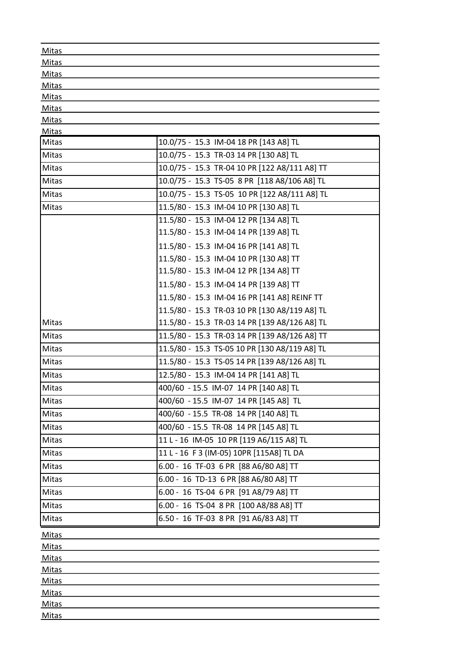| Mitas          |                                               |
|----------------|-----------------------------------------------|
| Mitas          |                                               |
| <b>Mitas</b>   |                                               |
| Mitas          |                                               |
| <b>Mitas</b>   |                                               |
| Mitas          |                                               |
| <b>Mitas</b>   |                                               |
| Mitas<br>Mitas | 10.0/75 - 15.3 IM-04 18 PR [143 A8] TL        |
|                |                                               |
| Mitas          | 10.0/75 - 15.3 TR-03 14 PR [130 A8] TL        |
| Mitas          | 10.0/75 - 15.3 TR-04 10 PR [122 A8/111 A8] TT |
| Mitas          | 10.0/75 - 15.3 TS-05 8 PR [118 A8/106 A8] TL  |
| Mitas          | 10.0/75 - 15.3 TS-05 10 PR [122 A8/111 A8] TL |
| Mitas          | 11.5/80 - 15.3 IM-04 10 PR [130 A8] TL        |
|                | 11.5/80 - 15.3 IM-04 12 PR [134 A8] TL        |
|                | 11.5/80 - 15.3 IM-04 14 PR [139 A8] TL        |
|                | 11.5/80 - 15.3 IM-04 16 PR [141 A8] TL        |
|                | 11.5/80 - 15.3 IM-04 10 PR [130 A8] TT        |
|                | 11.5/80 - 15.3 IM-04 12 PR [134 A8] TT        |
|                | 11.5/80 - 15.3 IM-04 14 PR [139 A8] TT        |
|                | 11.5/80 - 15.3 IM-04 16 PR [141 A8] REINF TT  |
|                | 11.5/80 - 15.3 TR-03 10 PR [130 A8/119 A8] TL |
| Mitas          | 11.5/80 - 15.3 TR-03 14 PR [139 A8/126 A8] TL |
| <b>Mitas</b>   | 11.5/80 - 15.3 TR-03 14 PR [139 A8/126 A8] TT |
| Mitas          | 11.5/80 - 15.3 TS-05 10 PR [130 A8/119 A8] TL |
| Mitas          | 11.5/80 - 15.3 TS-05 14 PR [139 A8/126 A8] TL |
| Mitas          | 12.5/80 - 15.3 IM-04 14 PR [141 A8] TL        |
| Mitas          | 400/60 - 15.5 IM-07 14 PR [140 A8] TL         |
| Mitas          | 400/60 - 15.5 IM-07 14 PR [145 A8] TL         |
| Mitas          | 400/60 - 15.5 TR-08 14 PR [140 A8] TL         |
| Mitas          | 400/60 - 15.5 TR-08 14 PR [145 A8] TL         |
| Mitas          | 11 L - 16 IM-05 10 PR [119 A6/115 A8] TL      |
| Mitas          | 11 L - 16 F 3 (IM-05) 10PR [115A8] TL DA      |
| Mitas          | 6.00 - 16 TF-03 6 PR [88 A6/80 A8] TT         |
| Mitas          | 6.00 - 16 TD-13 6 PR [88 A6/80 A8] TT         |
| Mitas          | 6.00 - 16 TS-04 6 PR [91 A8/79 A8] TT         |
| Mitas          | 6.00 - 16 TS-04 8 PR [100 A8/88 A8] TT        |
| Mitas          | 6.50 - 16 TF-03 8 PR [91 A6/83 A8] TT         |
| <b>Mitas</b>   |                                               |
| <b>Mitas</b>   |                                               |
| <b>Mitas</b>   |                                               |
| <b>Mitas</b>   |                                               |
| <b>Mitas</b>   |                                               |
| <b>Mitas</b>   |                                               |
| <b>Mitas</b>   |                                               |
| <b>Mitas</b>   |                                               |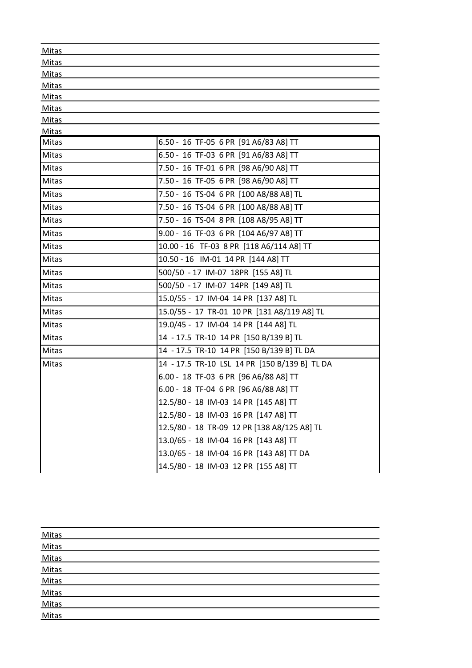| Mitas          |                                               |
|----------------|-----------------------------------------------|
| <b>Mitas</b>   |                                               |
| <b>Mitas</b>   |                                               |
| <b>Mitas</b>   |                                               |
| <b>Mitas</b>   |                                               |
| Mitas          |                                               |
| <b>Mitas</b>   |                                               |
| Mitas<br>Mitas | 6.50 - 16 TF-05 6 PR [91 A6/83 A8] TT         |
| <b>Mitas</b>   | 6.50 - 16 TF-03 6 PR [91 A6/83 A8] TT         |
|                |                                               |
| Mitas          | 7.50 - 16 TF-01 6 PR [98 A6/90 A8] TT         |
| <b>Mitas</b>   | 7.50 - 16 TF-05 6 PR [98 A6/90 A8] TT         |
| Mitas          | 7.50 - 16 TS-04 6 PR [100 A8/88 A8] TL        |
| <b>Mitas</b>   | 7.50 - 16 TS-04 6 PR [100 A8/88 A8] TT        |
| <b>Mitas</b>   | 7.50 - 16 TS-04 8 PR [108 A8/95 A8] TT        |
| <b>Mitas</b>   | 9.00 - 16 TF-03 6 PR [104 A6/97 A8] TT        |
| Mitas          | 10.00 - 16 TF-03 8 PR [118 A6/114 A8] TT      |
| Mitas          | 10.50 - 16 IM-01 14 PR [144 A8] TT            |
| Mitas          | 500/50 - 17 IM-07 18PR [155 A8] TL            |
| Mitas          | 500/50 - 17 IM-07 14PR [149 A8] TL            |
| Mitas          | 15.0/55 - 17 IM-04 14 PR [137 A8] TL          |
| <b>Mitas</b>   | 15.0/55 - 17 TR-01 10 PR [131 A8/119 A8] TL   |
| <b>Mitas</b>   | 19.0/45 - 17 IM-04 14 PR [144 A8] TL          |
| Mitas          | 14 - 17.5 TR-10 14 PR [150 B/139 B] TL        |
| Mitas          | 14 - 17.5 TR-10 14 PR [150 B/139 B] TL DA     |
| Mitas          | 14 - 17.5 TR-10 LSL 14 PR [150 B/139 B] TL DA |
|                | 6.00 - 18 TF-03 6 PR [96 A6/88 A8] TT         |
|                | 6.00 - 18 TF-04 6 PR [96 A6/88 A8] TT         |
|                | 12.5/80 - 18 IM-03 14 PR [145 A8] TT          |
|                | 12.5/80 - 18 IM-03 16 PR [147 A8] TT          |
|                | 12.5/80 - 18 TR-09 12 PR [138 A8/125 A8] TL   |
|                | 13.0/65 - 18 IM-04 16 PR [143 A8] TT          |
|                | 13.0/65 - 18 IM-04 16 PR [143 A8] TT DA       |
|                | 14.5/80 - 18 IM-03 12 PR [155 A8] TT          |
|                |                                               |

| Mitas<br>Mitas                                     |  |  |  |
|----------------------------------------------------|--|--|--|
|                                                    |  |  |  |
|                                                    |  |  |  |
|                                                    |  |  |  |
|                                                    |  |  |  |
| Mitas<br>Mitas<br>Mitas<br>Mitas<br>Mitas<br>Mitas |  |  |  |
|                                                    |  |  |  |
|                                                    |  |  |  |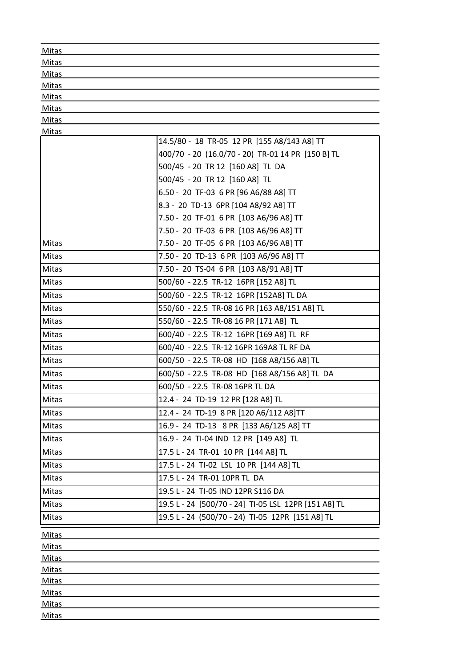| Mitas        |                                                      |
|--------------|------------------------------------------------------|
| Mitas        |                                                      |
| <b>Mitas</b> |                                                      |
| <b>Mitas</b> |                                                      |
| <b>Mitas</b> |                                                      |
| Mitas        |                                                      |
| <b>Mitas</b> |                                                      |
| <b>Mitas</b> | 14.5/80 - 18 TR-05 12 PR [155 A8/143 A8] TT          |
|              | 400/70 - 20 (16.0/70 - 20) TR-01 14 PR [150 B] TL    |
|              | 500/45 - 20 TR 12 [160 A8] TL DA                     |
|              | 500/45 - 20 TR 12 [160 A8] TL                        |
|              | 6.50 - 20 TF-03 6 PR [96 A6/88 A8] TT                |
|              | 8.3 - 20 TD-13 6PR [104 A8/92 A8] TT                 |
|              | 7.50 - 20 TF-01 6 PR [103 A6/96 A8] TT               |
|              | 7.50 - 20 TF-03 6 PR [103 A6/96 A8] TT               |
| <b>Mitas</b> |                                                      |
|              | 7.50 - 20 TF-05 6 PR [103 A6/96 A8] TT               |
| <b>Mitas</b> | 7.50 - 20 TD-13 6 PR [103 A6/96 A8] TT               |
| <b>Mitas</b> | 7.50 - 20 TS-04 6 PR [103 A8/91 A8] TT               |
| Mitas        | 500/60 - 22.5 TR-12 16PR [152 A8] TL                 |
| <b>Mitas</b> | 500/60 - 22.5 TR-12 16PR [152A8] TL DA               |
| <b>Mitas</b> | 550/60 - 22.5 TR-08 16 PR [163 A8/151 A8] TL         |
| Mitas        | 550/60 - 22.5 TR-08 16 PR [171 A8] TL                |
| <b>Mitas</b> | 600/40 - 22.5 TR-12 16PR [169 A8] TL RF              |
| <b>Mitas</b> | 600/40 - 22.5 TR-12 16PR 169A8 TL RF DA              |
| <b>Mitas</b> | 600/50 - 22.5 TR-08 HD [168 A8/156 A8] TL            |
| <b>Mitas</b> | 600/50 - 22.5 TR-08 HD [168 A8/156 A8] TL DA         |
| <b>Mitas</b> | 600/50 - 22.5 TR-08 16PR TL DA                       |
| Mitas        | 12.4 - 24 TD-19 12 PR [128 A8] TL                    |
| Mitas        | 12.4 - 24 TD-19 8 PR [120 A6/112 A8]TT               |
| <b>Mitas</b> | 16.9 - 24 TD-13 8 PR [133 A6/125 A8] TT              |
| <b>Mitas</b> | 16.9 - 24 TI-04 IND 12 PR [149 A8] TL                |
| <b>Mitas</b> | 17.5 L - 24 TR-01 10 PR [144 A8] TL                  |
| <b>Mitas</b> | 17.5 L - 24 TI-02 LSL 10 PR [144 A8] TL              |
| <b>Mitas</b> | 17.5 L - 24 TR-01 10PR TL DA                         |
| <b>Mitas</b> | 19.5 L - 24 TI-05 IND 12PR S116 DA                   |
| <b>Mitas</b> | 19.5 L - 24 [500/70 - 24] TI-05 LSL 12PR [151 A8] TL |
| <b>Mitas</b> | 19.5 L - 24 (500/70 - 24) TI-05 12PR [151 A8] TL     |
| <b>Mitas</b> |                                                      |
| Mitas        |                                                      |
| <b>Mitas</b> |                                                      |
| <b>Mitas</b> |                                                      |
| Mitas        |                                                      |
| <b>Mitas</b> |                                                      |
| <b>Mitas</b> |                                                      |
| <b>Mitas</b> |                                                      |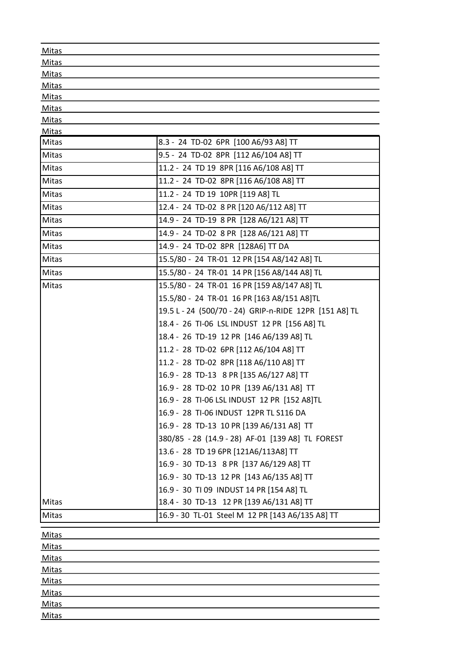| Mitas                        |                                                        |
|------------------------------|--------------------------------------------------------|
| Mitas                        |                                                        |
| <b>Mitas</b>                 |                                                        |
| <b>Mitas</b>                 |                                                        |
| Mitas                        |                                                        |
| Mitas                        |                                                        |
| <b>Mitas</b>                 |                                                        |
| <b>Mitas</b><br>Mitas        | 8.3 - 24 TD-02 6PR [100 A6/93 A8] TT                   |
| Mitas                        | 9.5 - 24 TD-02 8PR [112 A6/104 A8] TT                  |
| <b>Mitas</b>                 | 11.2 - 24 TD 19 8PR [116 A6/108 A8] TT                 |
| Mitas                        | 11.2 - 24 TD-02 8PR [116 A6/108 A8] TT                 |
| <b>Mitas</b>                 | 11.2 - 24 TD 19 10PR [119 A8] TL                       |
| Mitas                        | 12.4 - 24 TD-02 8 PR [120 A6/112 A8] TT                |
| <b>Mitas</b>                 |                                                        |
|                              | 14.9 - 24 TD-19 8 PR [128 A6/121 A8] TT                |
| Mitas                        | 14.9 - 24 TD-02 8 PR [128 A6/121 A8] TT                |
| Mitas                        | 14.9 - 24 TD-02 8PR [128A6] TT DA                      |
| Mitas                        | 15.5/80 - 24 TR-01 12 PR [154 A8/142 A8] TL            |
| Mitas                        | 15.5/80 - 24 TR-01 14 PR [156 A8/144 A8] TL            |
| Mitas                        | 15.5/80 - 24 TR-01 16 PR [159 A8/147 A8] TL            |
|                              | 15.5/80 - 24 TR-01 16 PR [163 A8/151 A8]TL             |
|                              | 19.5 L - 24 (500/70 - 24) GRIP-n-RIDE 12PR [151 A8] TL |
|                              | 18.4 - 26 TI-06 LSL INDUST 12 PR [156 A8] TL           |
|                              | 18.4 - 26 TD-19 12 PR [146 A6/139 A8] TL               |
|                              | 11.2 - 28 TD-02 6PR [112 A6/104 A8] TT                 |
|                              | 11.2 - 28 TD-02 8PR [118 A6/110 A8] TT                 |
|                              | 16.9 - 28 TD-13 8 PR [135 A6/127 A8] TT                |
|                              | 16.9 - 28 TD-02 10 PR [139 A6/131 A8] TT               |
|                              | 16.9 - 28 TI-06 LSL INDUST 12 PR [152 A8]TL            |
|                              | 16.9 - 28 TI-06 INDUST 12PR TL S116 DA                 |
|                              | 16.9 - 28 TD-13 10 PR [139 A6/131 A8] TT               |
|                              | 380/85 - 28 (14.9 - 28) AF-01 [139 A8] TL FOREST       |
|                              | 13.6 - 28 TD 19 6PR [121A6/113A8] TT                   |
|                              | 16.9 - 30 TD-13 8 PR [137 A6/129 A8] TT                |
|                              | 16.9 - 30 TD-13 12 PR [143 A6/135 A8] TT               |
|                              | 16.9 - 30 TI 09 INDUST 14 PR [154 A8] TL               |
| <b>Mitas</b>                 | 18.4 - 30 TD-13 12 PR [139 A6/131 A8] TT               |
| Mitas                        | 16.9 - 30 TL-01 Steel M 12 PR [143 A6/135 A8] TT       |
|                              |                                                        |
| Mitas                        |                                                        |
| <b>Mitas</b>                 |                                                        |
| <b>Mitas</b>                 |                                                        |
| <b>Mitas</b>                 |                                                        |
| <b>Mitas</b><br><b>Mitas</b> |                                                        |
| <b>Mitas</b>                 |                                                        |
|                              |                                                        |

**Mitas**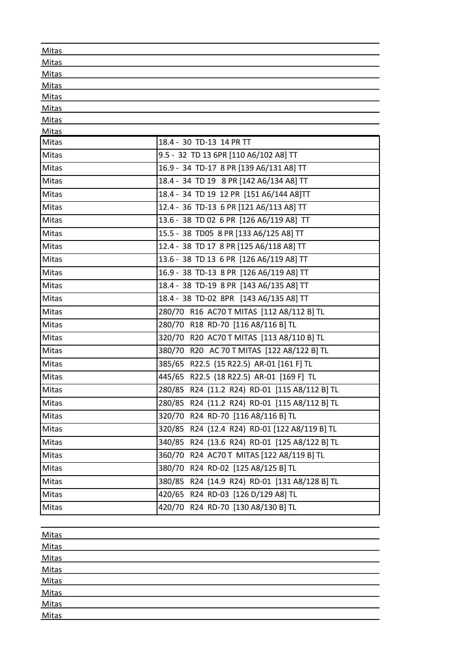| Mitas          |                                               |
|----------------|-----------------------------------------------|
| Mitas          |                                               |
| <b>Mitas</b>   |                                               |
| Mitas          |                                               |
| Mitas          |                                               |
| Mitas          |                                               |
| Mitas          |                                               |
| Mitas<br>Mitas | 18.4 - 30 TD-13 14 PR TT                      |
| <b>Mitas</b>   | 9.5 - 32 TD 13 6PR [110 A6/102 A8] TT         |
| Mitas          | 16.9 - 34 TD-17 8 PR [139 A6/131 A8] TT       |
| Mitas          | 18.4 - 34 TD 19 8 PR [142 A6/134 A8] TT       |
| Mitas          | 18.4 - 34 TD 19 12 PR [151 A6/144 A8]TT       |
| Mitas          | 12.4 - 36 TD-13 6 PR [121 A6/113 A8] TT       |
| Mitas          | 13.6 - 38 TD 02 6 PR [126 A6/119 A8] TT       |
| Mitas          | 15.5 - 38 TD05 8 PR [133 A6/125 A8] TT        |
| Mitas          | 12.4 - 38 TD 17 8 PR [125 A6/118 A8] TT       |
|                |                                               |
| <b>Mitas</b>   | 13.6 - 38 TD 13 6 PR [126 A6/119 A8] TT       |
| Mitas          | 16.9 - 38 TD-13 8 PR [126 A6/119 A8] TT       |
| <b>Mitas</b>   | 18.4 - 38 TD-19 8 PR [143 A6/135 A8] TT       |
| Mitas          | 18.4 - 38 TD-02 8PR [143 A6/135 A8] TT        |
| Mitas          | 280/70 R16 AC70 T MITAS [112 A8/112 B] TL     |
| Mitas          | 280/70 R18 RD-70 [116 A8/116 B] TL            |
| Mitas          | 320/70 R20 AC70 T MITAS [113 A8/110 B] TL     |
| Mitas          | 380/70 R20 AC 70 T MITAS [122 A8/122 B] TL    |
| Mitas          | 385/65 R22.5 (15 R22.5) AR-01 [161 F] TL      |
| Mitas          | 445/65 R22.5 (18 R22.5) AR-01 [169 F] TL      |
| Mitas          | 280/85 R24 (11.2 R24) RD-01 [115 A8/112 B] TL |
| Mitas          | 280/85 R24 (11.2 R24) RD-01 [115 A8/112 B] TL |
| Mitas          | 320/70 R24 RD-70 [116 A8/116 B] TL            |
| Mitas          | 320/85 R24 (12.4 R24) RD-01 [122 A8/119 B] TL |
| Mitas          | 340/85 R24 (13.6 R24) RD-01 [125 A8/122 B] TL |
| Mitas          | 360/70 R24 AC70 T MITAS [122 A8/119 B] TL     |
| Mitas          | 380/70 R24 RD-02 [125 A8/125 B] TL            |
| Mitas          | 380/85 R24 (14.9 R24) RD-01 [131 A8/128 B] TL |
| Mitas          | 420/65 R24 RD-03 [126 D/129 A8] TL            |
| Mitas          | 420/70 R24 RD-70 [130 A8/130 B] TL            |
|                |                                               |
| Mitas          |                                               |
| <b>Mitas</b>   |                                               |

Mitas Mitas Mitas Mitas Mitas Mitas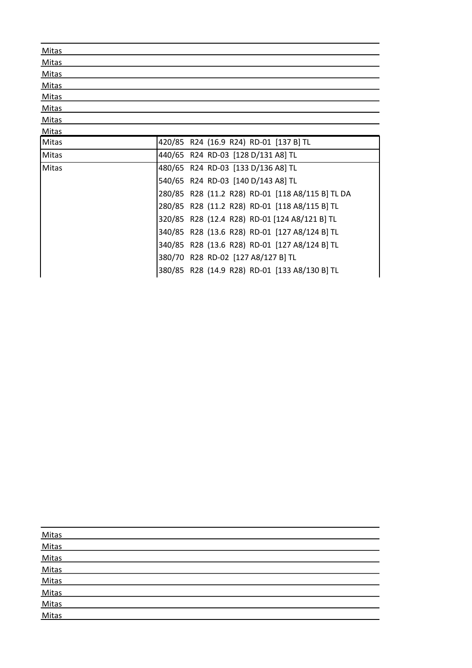| <b>Mitas</b> |                                                  |
|--------------|--------------------------------------------------|
| <b>Mitas</b> |                                                  |
| <b>Mitas</b> |                                                  |
| Mitas        |                                                  |
| Mitas        |                                                  |
| Mitas        |                                                  |
| <b>Mitas</b> |                                                  |
| <b>Mitas</b> |                                                  |
| Mitas        | 420/85 R24 (16.9 R24) RD-01 [137 B] TL           |
| Mitas        | 440/65 R24 RD-03 [128 D/131 A8] TL               |
| Mitas        | 480/65 R24 RD-03 [133 D/136 A8] TL               |
|              | 540/65 R24 RD-03 [140 D/143 A8] TL               |
|              | 280/85 R28 (11.2 R28) RD-01 [118 A8/115 B] TL DA |
|              | 280/85 R28 (11.2 R28) RD-01 [118 A8/115 B] TL    |
|              | 320/85 R28 (12.4 R28) RD-01 [124 A8/121 B] TL    |
|              | 340/85 R28 (13.6 R28) RD-01 [127 A8/124 B] TL    |
|              | 340/85 R28 (13.6 R28) RD-01 [127 A8/124 B] TL    |
|              | 380/70 R28 RD-02 [127 A8/127 B] TL               |
|              | 380/85 R28 (14.9 R28) RD-01 [133 A8/130 B] TL    |

| Mitas          |  |
|----------------|--|
| Mitas          |  |
| Mitas          |  |
| Mitas          |  |
| Mitas          |  |
| Mitas          |  |
| Mitas<br>Mitas |  |
|                |  |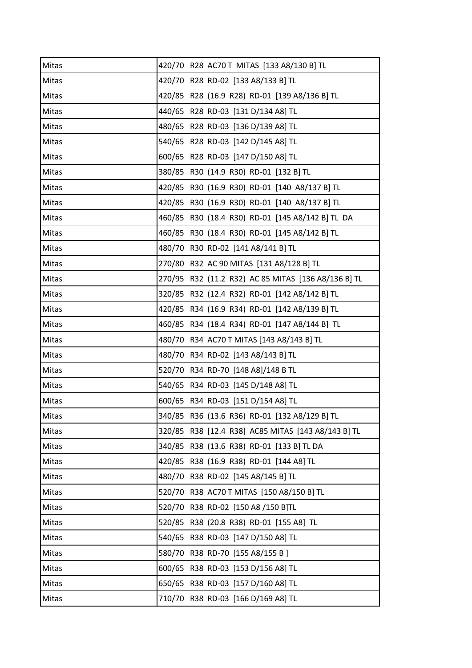| Mitas | 420/70 R28 AC70 T MITAS [133 A8/130 B] TL           |
|-------|-----------------------------------------------------|
| Mitas | 420/70 R28 RD-02 [133 A8/133 B] TL                  |
| Mitas | 420/85 R28 (16.9 R28) RD-01 [139 A8/136 B] TL       |
| Mitas | 440/65 R28 RD-03 [131 D/134 A8] TL                  |
| Mitas | 480/65 R28 RD-03 [136 D/139 A8] TL                  |
| Mitas | 540/65 R28 RD-03 [142 D/145 A8] TL                  |
| Mitas | 600/65 R28 RD-03 [147 D/150 A8] TL                  |
| Mitas | 380/85 R30 (14.9 R30) RD-01 [132 B] TL              |
| Mitas | 420/85 R30 (16.9 R30) RD-01 [140 A8/137 B] TL       |
| Mitas | 420/85 R30 (16.9 R30) RD-01 [140 A8/137 B] TL       |
| Mitas | 460/85 R30 (18.4 R30) RD-01 [145 A8/142 B] TL DA    |
| Mitas | 460/85 R30 (18.4 R30) RD-01 [145 A8/142 B] TL       |
| Mitas | 480/70 R30 RD-02 [141 A8/141 B] TL                  |
| Mitas | 270/80 R32 AC 90 MITAS [131 A8/128 B] TL            |
| Mitas | 270/95 R32 (11.2 R32) AC 85 MITAS [136 A8/136 B] TL |
| Mitas | 320/85 R32 (12.4 R32) RD-01 [142 A8/142 B] TL       |
| Mitas | 420/85 R34 (16.9 R34) RD-01 [142 A8/139 B] TL       |
| Mitas | 460/85 R34 (18.4 R34) RD-01 [147 A8/144 B] TL       |
| Mitas | 480/70 R34 AC70 T MITAS [143 A8/143 B] TL           |
| Mitas | 480/70 R34 RD-02 [143 A8/143 B] TL                  |
| Mitas | 520/70 R34 RD-70 [148 A8]/148 B TL                  |
| Mitas | 540/65 R34 RD-03 [145 D/148 A8] TL                  |
| Mitas | 600/65 R34 RD-03 [151 D/154 A8] TL                  |
| Mitas | 340/85 R36 (13.6 R36) RD-01 [132 A8/129 B] TL       |
| Mitas | 320/85 R38 [12.4 R38] AC85 MITAS [143 A8/143 B] TL  |
| Mitas | 340/85 R38 (13.6 R38) RD-01 [133 B] TL DA           |
| Mitas | 420/85 R38 (16.9 R38) RD-01 [144 A8] TL             |
| Mitas | 480/70 R38 RD-02 [145 A8/145 B] TL                  |
| Mitas | 520/70 R38 AC70 T MITAS [150 A8/150 B] TL           |
| Mitas | 520/70 R38 RD-02 [150 A8 /150 B]TL                  |
| Mitas | 520/85 R38 (20.8 R38) RD-01 [155 A8] TL             |
| Mitas | 540/65 R38 RD-03 [147 D/150 A8] TL                  |
| Mitas | 580/70 R38 RD-70 [155 A8/155 B]                     |
| Mitas | 600/65 R38 RD-03 [153 D/156 A8] TL                  |
| Mitas | 650/65 R38 RD-03 [157 D/160 A8] TL                  |
| Mitas | 710/70 R38 RD-03 [166 D/169 A8] TL                  |